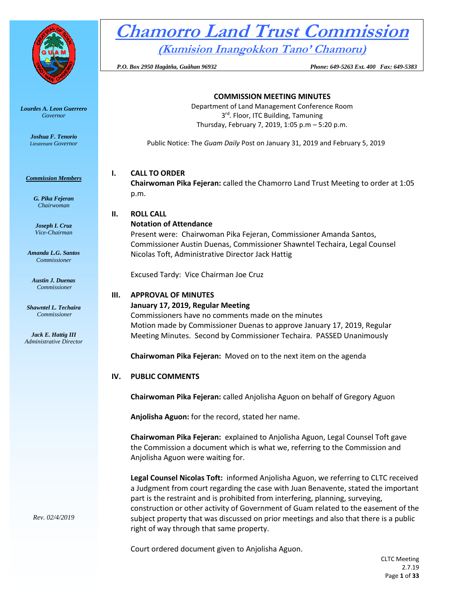

*Lourdes A. Leon Guerrero Governor* 

> *Joshua F. Tenorio Lieutenant Governor*

#### *Commission Members*

*G. Pika Fejeran Chairwoman*

*Joseph I. Cruz Vice-Chairman*

*Amanda L.G. Santos Commissioner*

*Austin J. Duenas Commissioner*

*Shawntel L. Techaira Commissioner*

*Jack E. Hattig III Administrative Director*

# **Chamorro Land Trust Commission**

**(Kumision Inangokkon Tano' Chamoru)**

 *P.O. Box 2950 Hagåtña, Guåhan 96932 Phone: 649-5263 Ext. 400 Fax: 649-5383*

# **COMMISSION MEETING MINUTES**

Department of Land Management Conference Room 3<sup>rd</sup>. Floor, ITC Building, Tamuning Thursday, February 7, 2019, 1:05 p.m – 5:20 p.m.

Public Notice: The *Guam Daily* Post on January 31, 2019 and February 5, 2019

# **I. CALL TO ORDER**

**Chairwoman Pika Fejeran:** called the Chamorro Land Trust Meeting to order at 1:05 p.m.

# **II. ROLL CALL**

# **Notation of Attendance**

Present were: Chairwoman Pika Fejeran, Commissioner Amanda Santos, Commissioner Austin Duenas, Commissioner Shawntel Techaira, Legal Counsel Nicolas Toft, Administrative Director Jack Hattig

Excused Tardy: Vice Chairman Joe Cruz

# **III. APPROVAL OF MINUTES**

# **January 17, 2019, Regular Meeting**

Commissioners have no comments made on the minutes Motion made by Commissioner Duenas to approve January 17, 2019, Regular Meeting Minutes. Second by Commissioner Techaira. PASSED Unanimously

**Chairwoman Pika Fejeran:** Moved on to the next item on the agenda

# **IV. PUBLIC COMMENTS**

**Chairwoman Pika Fejeran:** called Anjolisha Aguon on behalf of Gregory Aguon

**Anjolisha Aguon:** for the record, stated her name.

**Chairwoman Pika Fejeran:** explained to Anjolisha Aguon, Legal Counsel Toft gave the Commission a document which is what we, referring to the Commission and Anjolisha Aguon were waiting for.

**Legal Counsel Nicolas Toft:** informed Anjolisha Aguon, we referring to CLTC received a Judgment from court regarding the case with Juan Benavente, stated the important part is the restraint and is prohibited from interfering, planning, surveying, construction or other activity of Government of Guam related to the easement of the subject property that was discussed on prior meetings and also that there is a public right of way through that same property.

Court ordered document given to Anjolisha Aguon.

*Rev. 02/4/2019*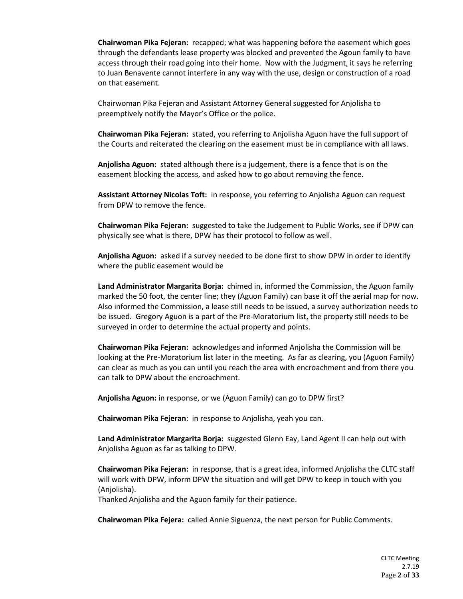**Chairwoman Pika Fejeran:** recapped; what was happening before the easement which goes through the defendants lease property was blocked and prevented the Agoun family to have access through their road going into their home. Now with the Judgment, it says he referring to Juan Benavente cannot interfere in any way with the use, design or construction of a road on that easement.

Chairwoman Pika Fejeran and Assistant Attorney General suggested for Anjolisha to preemptively notify the Mayor's Office or the police.

**Chairwoman Pika Fejeran:** stated, you referring to Anjolisha Aguon have the full support of the Courts and reiterated the clearing on the easement must be in compliance with all laws.

**Anjolisha Aguon:** stated although there is a judgement, there is a fence that is on the easement blocking the access, and asked how to go about removing the fence.

**Assistant Attorney Nicolas Toft:** in response, you referring to Anjolisha Aguon can request from DPW to remove the fence.

**Chairwoman Pika Fejeran:** suggested to take the Judgement to Public Works, see if DPW can physically see what is there, DPW has their protocol to follow as well.

**Anjolisha Aguon:** asked if a survey needed to be done first to show DPW in order to identify where the public easement would be

**Land Administrator Margarita Borja:** chimed in, informed the Commission, the Aguon family marked the 50 foot, the center line; they (Aguon Family) can base it off the aerial map for now. Also informed the Commission, a lease still needs to be issued, a survey authorization needs to be issued. Gregory Aguon is a part of the Pre-Moratorium list, the property still needs to be surveyed in order to determine the actual property and points.

**Chairwoman Pika Fejeran:** acknowledges and informed Anjolisha the Commission will be looking at the Pre-Moratorium list later in the meeting. As far as clearing, you (Aguon Family) can clear as much as you can until you reach the area with encroachment and from there you can talk to DPW about the encroachment.

**Anjolisha Aguon:** in response, or we (Aguon Family) can go to DPW first?

**Chairwoman Pika Fejeran**: in response to Anjolisha, yeah you can.

**Land Administrator Margarita Borja:** suggested Glenn Eay, Land Agent II can help out with Anjolisha Aguon as far as talking to DPW.

**Chairwoman Pika Fejeran:** in response, that is a great idea, informed Anjolisha the CLTC staff will work with DPW, inform DPW the situation and will get DPW to keep in touch with you (Anjolisha).

Thanked Anjolisha and the Aguon family for their patience.

**Chairwoman Pika Fejera:** called Annie Siguenza, the next person for Public Comments.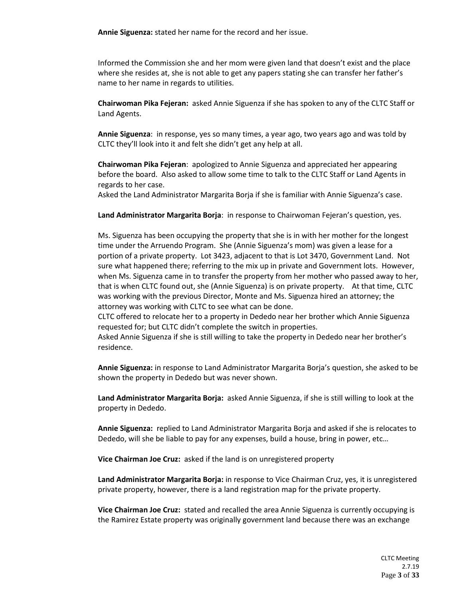**Annie Siguenza:** stated her name for the record and her issue.

Informed the Commission she and her mom were given land that doesn't exist and the place where she resides at, she is not able to get any papers stating she can transfer her father's name to her name in regards to utilities.

**Chairwoman Pika Fejeran:** asked Annie Siguenza if she has spoken to any of the CLTC Staff or Land Agents.

**Annie Siguenza**: in response, yes so many times, a year ago, two years ago and was told by CLTC they'll look into it and felt she didn't get any help at all.

**Chairwoman Pika Fejeran**: apologized to Annie Siguenza and appreciated her appearing before the board. Also asked to allow some time to talk to the CLTC Staff or Land Agents in regards to her case.

Asked the Land Administrator Margarita Borja if she is familiar with Annie Siguenza's case.

**Land Administrator Margarita Borja**: in response to Chairwoman Fejeran's question, yes.

Ms. Siguenza has been occupying the property that she is in with her mother for the longest time under the Arruendo Program. She (Annie Siguenza's mom) was given a lease for a portion of a private property. Lot 3423, adjacent to that is Lot 3470, Government Land. Not sure what happened there; referring to the mix up in private and Government lots. However, when Ms. Siguenza came in to transfer the property from her mother who passed away to her, that is when CLTC found out, she (Annie Siguenza) is on private property. At that time, CLTC was working with the previous Director, Monte and Ms. Siguenza hired an attorney; the attorney was working with CLTC to see what can be done.

CLTC offered to relocate her to a property in Dededo near her brother which Annie Siguenza requested for; but CLTC didn't complete the switch in properties.

Asked Annie Siguenza if she is still willing to take the property in Dededo near her brother's residence.

**Annie Siguenza:** in response to Land Administrator Margarita Borja's question, she asked to be shown the property in Dededo but was never shown.

**Land Administrator Margarita Borja:** asked Annie Siguenza, if she is still willing to look at the property in Dededo.

**Annie Siguenza:** replied to Land Administrator Margarita Borja and asked if she is relocates to Dededo, will she be liable to pay for any expenses, build a house, bring in power, etc…

**Vice Chairman Joe Cruz:** asked if the land is on unregistered property

**Land Administrator Margarita Borja:** in response to Vice Chairman Cruz, yes, it is unregistered private property, however, there is a land registration map for the private property.

**Vice Chairman Joe Cruz:** stated and recalled the area Annie Siguenza is currently occupying is the Ramirez Estate property was originally government land because there was an exchange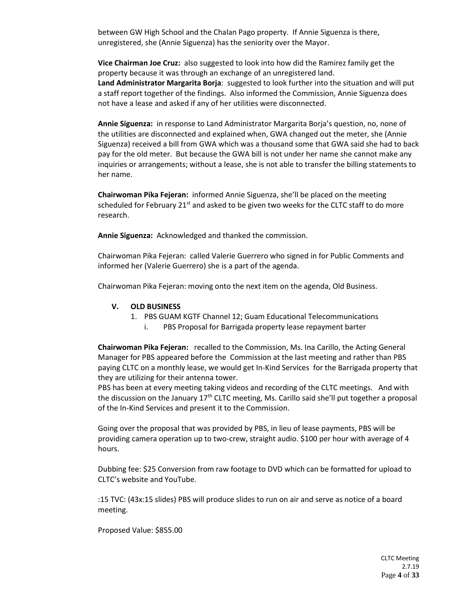between GW High School and the Chalan Pago property. If Annie Siguenza is there, unregistered, she (Annie Siguenza) has the seniority over the Mayor.

**Vice Chairman Joe Cruz:** also suggested to look into how did the Ramirez family get the property because it was through an exchange of an unregistered land. **Land Administrator Margarita Borja**: suggested to look further into the situation and will put a staff report together of the findings. Also informed the Commission, Annie Siguenza does not have a lease and asked if any of her utilities were disconnected.

**Annie Siguenza:** in response to Land Administrator Margarita Borja's question, no, none of the utilities are disconnected and explained when, GWA changed out the meter, she (Annie Siguenza) received a bill from GWA which was a thousand some that GWA said she had to back pay for the old meter. But because the GWA bill is not under her name she cannot make any inquiries or arrangements; without a lease, she is not able to transfer the billing statements to her name.

**Chairwoman Pika Fejeran:** informed Annie Siguenza, she'll be placed on the meeting scheduled for February  $21^{st}$  and asked to be given two weeks for the CLTC staff to do more research.

**Annie Siguenza:** Acknowledged and thanked the commission.

Chairwoman Pika Fejeran: called Valerie Guerrero who signed in for Public Comments and informed her (Valerie Guerrero) she is a part of the agenda.

Chairwoman Pika Fejeran: moving onto the next item on the agenda, Old Business.

#### **V. OLD BUSINESS**

- 1. PBS GUAM KGTF Channel 12; Guam Educational Telecommunications
	- PBS Proposal for Barrigada property lease repayment barter

**Chairwoman Pika Fejeran:** recalled to the Commission, Ms. Ina Carillo, the Acting General Manager for PBS appeared before the Commission at the last meeting and rather than PBS paying CLTC on a monthly lease, we would get In-Kind Services for the Barrigada property that they are utilizing for their antenna tower.

PBS has been at every meeting taking videos and recording of the CLTC meetings. And with the discussion on the January 17<sup>th</sup> CLTC meeting, Ms. Carillo said she'll put together a proposal of the In-Kind Services and present it to the Commission.

Going over the proposal that was provided by PBS, in lieu of lease payments, PBS will be providing camera operation up to two-crew, straight audio. \$100 per hour with average of 4 hours.

Dubbing fee: \$25 Conversion from raw footage to DVD which can be formatted for upload to CLTC's website and YouTube.

:15 TVC: (43x:15 slides) PBS will produce slides to run on air and serve as notice of a board meeting.

Proposed Value: \$855.00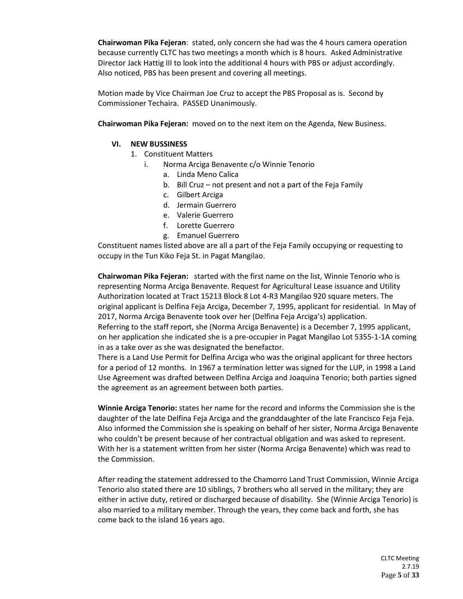**Chairwoman Pika Fejeran**: stated, only concern she had was the 4 hours camera operation because currently CLTC has two meetings a month which is 8 hours. Asked Administrative Director Jack Hattig III to look into the additional 4 hours with PBS or adjust accordingly. Also noticed, PBS has been present and covering all meetings.

Motion made by Vice Chairman Joe Cruz to accept the PBS Proposal as is. Second by Commissioner Techaira. PASSED Unanimously.

**Chairwoman Pika Fejeran:** moved on to the next item on the Agenda, New Business.

# **VI. NEW BUSSINESS**

- 1. Constituent Matters
	- i. Norma Arciga Benavente c/o Winnie Tenorio
		- a. Linda Meno Calica
		- b. Bill Cruz not present and not a part of the Feja Family
		- c. Gilbert Arciga
		- d. Jermain Guerrero
		- e. Valerie Guerrero
		- f. Lorette Guerrero
		- g. Emanuel Guerrero

Constituent names listed above are all a part of the Feja Family occupying or requesting to occupy in the Tun Kiko Feja St. in Pagat Mangilao.

**Chairwoman Pika Fejeran:** started with the first name on the list, Winnie Tenorio who is representing Norma Arciga Benavente. Request for Agricultural Lease issuance and Utility Authorization located at Tract 15213 Block 8 Lot 4-R3 Mangilao 920 square meters. The original applicant is Delfina Feja Arciga, December 7, 1995, applicant for residential. In May of 2017, Norma Arciga Benavente took over her (Delfina Feja Arciga's) application. Referring to the staff report, she (Norma Arciga Benavente) is a December 7, 1995 applicant, on her application she indicated she is a pre-occupier in Pagat Mangilao Lot 5355-1-1A coming in as a take over as she was designated the benefactor.

There is a Land Use Permit for Delfina Arciga who was the original applicant for three hectors for a period of 12 months. In 1967 a termination letter was signed for the LUP, in 1998 a Land Use Agreement was drafted between Delfina Arciga and Joaquina Tenorio; both parties signed the agreement as an agreement between both parties.

**Winnie Arciga Tenorio:** states her name for the record and informs the Commission she is the daughter of the late Delfina Feja Arciga and the granddaughter of the late Francisco Feja Feja. Also informed the Commission she is speaking on behalf of her sister, Norma Arciga Benavente who couldn't be present because of her contractual obligation and was asked to represent. With her is a statement written from her sister (Norma Arciga Benavente) which was read to the Commission.

After reading the statement addressed to the Chamorro Land Trust Commission, Winnie Arciga Tenorio also stated there are 10 siblings, 7 brothers who all served in the military; they are either in active duty, retired or discharged because of disability. She (Winnie Arciga Tenorio) is also married to a military member. Through the years, they come back and forth, she has come back to the island 16 years ago.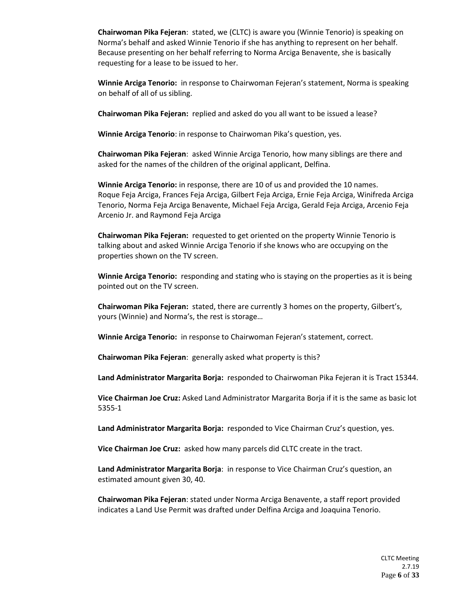**Chairwoman Pika Fejeran**: stated, we (CLTC) is aware you (Winnie Tenorio) is speaking on Norma's behalf and asked Winnie Tenorio if she has anything to represent on her behalf. Because presenting on her behalf referring to Norma Arciga Benavente, she is basically requesting for a lease to be issued to her.

**Winnie Arciga Tenorio:** in response to Chairwoman Fejeran's statement, Norma is speaking on behalf of all of us sibling.

**Chairwoman Pika Fejeran:** replied and asked do you all want to be issued a lease?

**Winnie Arciga Tenorio**: in response to Chairwoman Pika's question, yes.

**Chairwoman Pika Fejeran**: asked Winnie Arciga Tenorio, how many siblings are there and asked for the names of the children of the original applicant, Delfina.

**Winnie Arciga Tenorio:** in response, there are 10 of us and provided the 10 names. Roque Feja Arciga, Frances Feja Arciga, Gilbert Feja Arciga, Ernie Feja Arciga, Winifreda Arciga Tenorio, Norma Feja Arciga Benavente, Michael Feja Arciga, Gerald Feja Arciga, Arcenio Feja Arcenio Jr. and Raymond Feja Arciga

**Chairwoman Pika Fejeran:** requested to get oriented on the property Winnie Tenorio is talking about and asked Winnie Arciga Tenorio if she knows who are occupying on the properties shown on the TV screen.

**Winnie Arciga Tenorio:** responding and stating who is staying on the properties as it is being pointed out on the TV screen.

**Chairwoman Pika Fejeran:** stated, there are currently 3 homes on the property, Gilbert's, yours (Winnie) and Norma's, the rest is storage…

**Winnie Arciga Tenorio:** in response to Chairwoman Fejeran's statement, correct.

**Chairwoman Pika Fejeran**: generally asked what property is this?

**Land Administrator Margarita Borja:** responded to Chairwoman Pika Fejeran it is Tract 15344.

**Vice Chairman Joe Cruz:** Asked Land Administrator Margarita Borja if it is the same as basic lot 5355-1

**Land Administrator Margarita Borja:** responded to Vice Chairman Cruz's question, yes.

**Vice Chairman Joe Cruz:** asked how many parcels did CLTC create in the tract.

**Land Administrator Margarita Borja**: in response to Vice Chairman Cruz's question, an estimated amount given 30, 40.

**Chairwoman Pika Fejeran**: stated under Norma Arciga Benavente, a staff report provided indicates a Land Use Permit was drafted under Delfina Arciga and Joaquina Tenorio.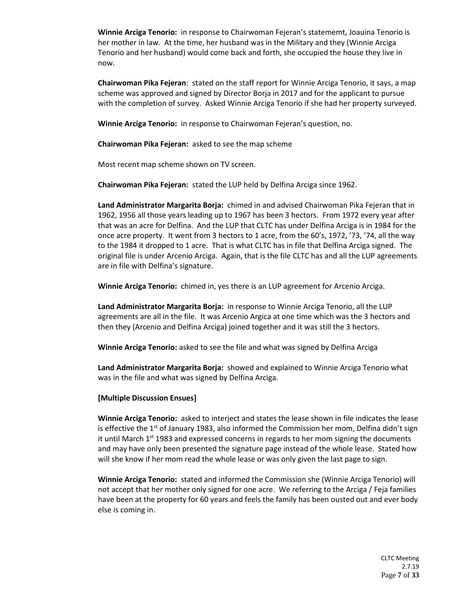**Winnie Arciga Tenorio:** in response to Chairwoman Fejeran's statememt, Joauina Tenorio is her mother in law. At the time, her husband was in the Military and they (Winnie Arciga Tenorio and her husband) would come back and forth, she occupied the house they live in now.

**Chairwoman Pika Fejeran**: stated on the staff report for Winnie Arciga Tenorio, it says, a map scheme was approved and signed by Director Borja in 2017 and for the applicant to pursue with the completion of survey. Asked Winnie Arciga Tenorio if she had her property surveyed.

**Winnie Arciga Tenorio:** in response to Chairwoman Fejeran's question, no.

**Chairwoman Pika Fejeran:** asked to see the map scheme

Most recent map scheme shown on TV screen.

**Chairwoman Pika Fejeran:** stated the LUP held by Delfina Arciga since 1962.

**Land Administrator Margarita Borja:** chimed in and advised Chairwoman Pika Fejeran that in 1962, 1956 all those years leading up to 1967 has been 3 hectors. From 1972 every year after that was an acre for Delfina. And the LUP that CLTC has under Delfina Arciga is in 1984 for the once acre property. It went from 3 hectors to 1 acre, from the 60's, 1972, '73, '74, all the way to the 1984 it dropped to 1 acre. That is what CLTC has in file that Delfina Arciga signed. The original file is under Arcenio Arciga. Again, that is the file CLTC has and all the LUP agreements are in file with Delfina's signature.

**Winnie Arciga Tenorio:** chimed in, yes there is an LUP agreement for Arcenio Arciga.

**Land Administrator Margarita Borja:** in response to Winnie Arciga Tenorio, all the LUP agreements are all in the file. It was Arcenio Argica at one time which was the 3 hectors and then they (Arcenio and Delfina Arciga) joined together and it was still the 3 hectors.

**Winnie Arciga Tenorio:** asked to see the file and what was signed by Delfina Arciga

**Land Administrator Margarita Borja:** showed and explained to Winnie Arciga Tenorio what was in the file and what was signed by Delfina Arciga.

**[Multiple Discussion Ensues]**

**Winnie Arciga Tenorio:** asked to interject and states the lease shown in file indicates the lease is effective the 1<sup>st</sup> of January 1983, also informed the Commission her mom, Delfina didn't sign it until March  $1<sup>st</sup>$  1983 and expressed concerns in regards to her mom signing the documents and may have only been presented the signature page instead of the whole lease. Stated how will she know if her mom read the whole lease or was only given the last page to sign.

**Winnie Arciga Tenorio:** stated and informed the Commission she (Winnie Arciga Tenorio) will not accept that her mother only signed for one acre. We referring to the Arciga / Feja families have been at the property for 60 years and feels the family has been ousted out and ever body else is coming in.

> CLTC Meeting 2.7.19 Page **7** of **33**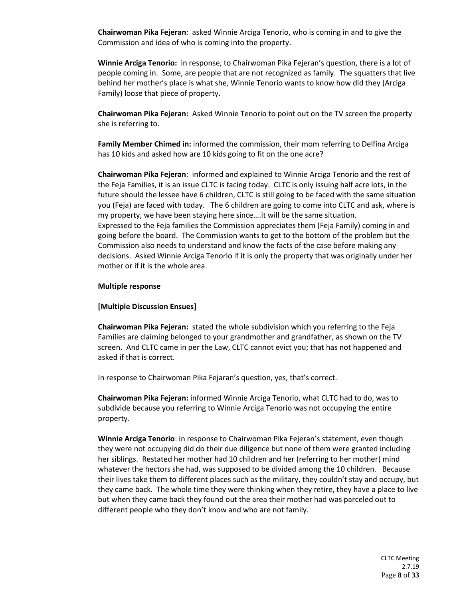**Chairwoman Pika Fejeran**: asked Winnie Arciga Tenorio, who is coming in and to give the Commission and idea of who is coming into the property.

**Winnie Arciga Tenorio:** in response, to Chairwoman Pika Fejeran's question, there is a lot of people coming in. Some, are people that are not recognized as family. The squatters that live behind her mother's place is what she, Winnie Tenorio wants to know how did they (Arciga Family) loose that piece of property.

**Chairwoman Pika Fejeran:** Asked Winnie Tenorio to point out on the TV screen the property she is referring to.

**Family Member Chimed in:** informed the commission, their mom referring to Delfina Arciga has 10 kids and asked how are 10 kids going to fit on the one acre?

**Chairwoman Pika Fejeran**: informed and explained to Winnie Arciga Tenorio and the rest of the Feja Families, it is an issue CLTC is facing today. CLTC is only issuing half acre lots, in the future should the lessee have 6 children, CLTC is still going to be faced with the same situation you (Feja) are faced with today. The 6 children are going to come into CLTC and ask, where is my property, we have been staying here since….it will be the same situation. Expressed to the Feja families the Commission appreciates them (Feja Family) coming in and going before the board. The Commission wants to get to the bottom of the problem but the Commission also needs to understand and know the facts of the case before making any decisions. Asked Winnie Arciga Tenorio if it is only the property that was originally under her mother or if it is the whole area.

#### **Multiple response**

#### **[Multiple Discussion Ensues]**

**Chairwoman Pika Fejeran:** stated the whole subdivision which you referring to the Feja Families are claiming belonged to your grandmother and grandfather, as shown on the TV screen. And CLTC came in per the Law, CLTC cannot evict you; that has not happened and asked if that is correct.

In response to Chairwoman Pika Fejaran's question, yes, that's correct.

**Chairwoman Pika Fejeran:** informed Winnie Arciga Tenorio, what CLTC had to do, was to subdivide because you referring to Winnie Arciga Tenorio was not occupying the entire property.

**Winnie Arciga Tenorio**: in response to Chairwoman Pika Fejeran's statement, even though they were not occupying did do their due diligence but none of them were granted including her siblings. Restated her mother had 10 children and her (referring to her mother) mind whatever the hectors she had, was supposed to be divided among the 10 children. Because their lives take them to different places such as the military, they couldn't stay and occupy, but they came back. The whole time they were thinking when they retire, they have a place to live but when they came back they found out the area their mother had was parceled out to different people who they don't know and who are not family.

> CLTC Meeting 2.7.19 Page **8** of **33**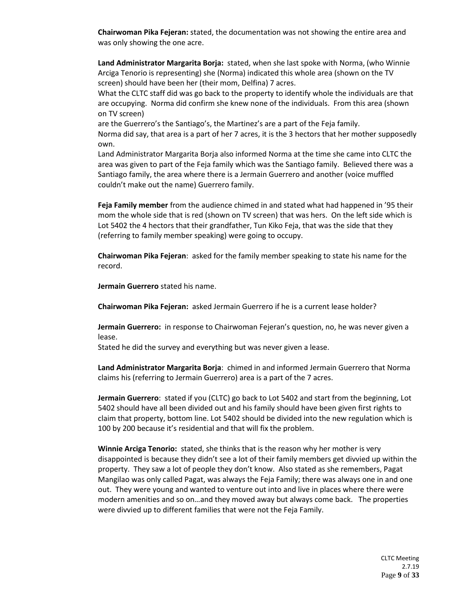**Chairwoman Pika Fejeran:** stated, the documentation was not showing the entire area and was only showing the one acre.

**Land Administrator Margarita Borja:** stated, when she last spoke with Norma, (who Winnie Arciga Tenorio is representing) she (Norma) indicated this whole area (shown on the TV screen) should have been her (their mom, Delfina) 7 acres.

What the CLTC staff did was go back to the property to identify whole the individuals are that are occupying. Norma did confirm she knew none of the individuals. From this area (shown on TV screen)

are the Guerrero's the Santiago's, the Martinez's are a part of the Feja family. Norma did say, that area is a part of her 7 acres, it is the 3 hectors that her mother supposedly own.

Land Administrator Margarita Borja also informed Norma at the time she came into CLTC the area was given to part of the Feja family which was the Santiago family. Believed there was a Santiago family, the area where there is a Jermain Guerrero and another (voice muffled couldn't make out the name) Guerrero family.

**Feja Family member** from the audience chimed in and stated what had happened in '95 their mom the whole side that is red (shown on TV screen) that was hers. On the left side which is Lot 5402 the 4 hectors that their grandfather, Tun Kiko Feja, that was the side that they (referring to family member speaking) were going to occupy.

**Chairwoman Pika Fejeran**: asked for the family member speaking to state his name for the record.

**Jermain Guerrero** stated his name.

**Chairwoman Pika Fejeran:** asked Jermain Guerrero if he is a current lease holder?

**Jermain Guerrero:** in response to Chairwoman Fejeran's question, no, he was never given a lease.

Stated he did the survey and everything but was never given a lease.

**Land Administrator Margarita Borja**: chimed in and informed Jermain Guerrero that Norma claims his (referring to Jermain Guerrero) area is a part of the 7 acres.

**Jermain Guerrero**: stated if you (CLTC) go back to Lot 5402 and start from the beginning, Lot 5402 should have all been divided out and his family should have been given first rights to claim that property, bottom line. Lot 5402 should be divided into the new regulation which is 100 by 200 because it's residential and that will fix the problem.

**Winnie Arciga Tenorio:** stated, she thinks that is the reason why her mother is very disappointed is because they didn't see a lot of their family members get divvied up within the property. They saw a lot of people they don't know. Also stated as she remembers, Pagat Mangilao was only called Pagat, was always the Feja Family; there was always one in and one out. They were young and wanted to venture out into and live in places where there were modern amenities and so on…and they moved away but always come back. The properties were divvied up to different families that were not the Feja Family.

> CLTC Meeting 2.7.19 Page **9** of **33**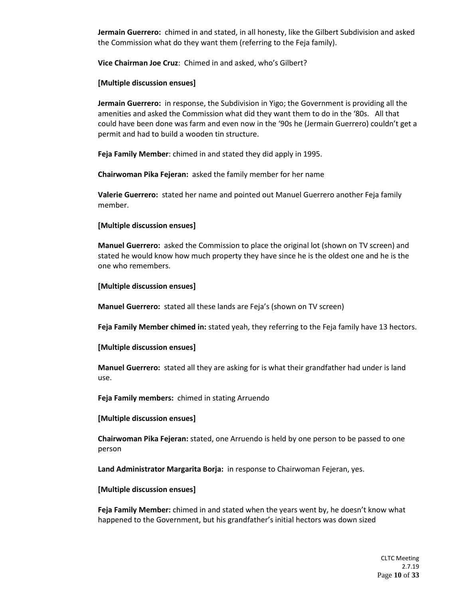**Jermain Guerrero:** chimed in and stated, in all honesty, like the Gilbert Subdivision and asked the Commission what do they want them (referring to the Feja family).

**Vice Chairman Joe Cruz**: Chimed in and asked, who's Gilbert?

# **[Multiple discussion ensues]**

**Jermain Guerrero:** in response, the Subdivision in Yigo; the Government is providing all the amenities and asked the Commission what did they want them to do in the '80s. All that could have been done was farm and even now in the '90s he (Jermain Guerrero) couldn't get a permit and had to build a wooden tin structure.

**Feja Family Member**: chimed in and stated they did apply in 1995.

**Chairwoman Pika Fejeran:** asked the family member for her name

**Valerie Guerrero:** stated her name and pointed out Manuel Guerrero another Feja family member.

#### **[Multiple discussion ensues]**

**Manuel Guerrero:** asked the Commission to place the original lot (shown on TV screen) and stated he would know how much property they have since he is the oldest one and he is the one who remembers.

## **[Multiple discussion ensues]**

**Manuel Guerrero:** stated all these lands are Feja's (shown on TV screen)

**Feja Family Member chimed in:** stated yeah, they referring to the Feja family have 13 hectors.

#### **[Multiple discussion ensues]**

**Manuel Guerrero:** stated all they are asking for is what their grandfather had under is land use.

**Feja Family members:** chimed in stating Arruendo

#### **[Multiple discussion ensues]**

**Chairwoman Pika Fejeran:** stated, one Arruendo is held by one person to be passed to one person

**Land Administrator Margarita Borja:** in response to Chairwoman Fejeran, yes.

#### **[Multiple discussion ensues]**

**Feja Family Member:** chimed in and stated when the years went by, he doesn't know what happened to the Government, but his grandfather's initial hectors was down sized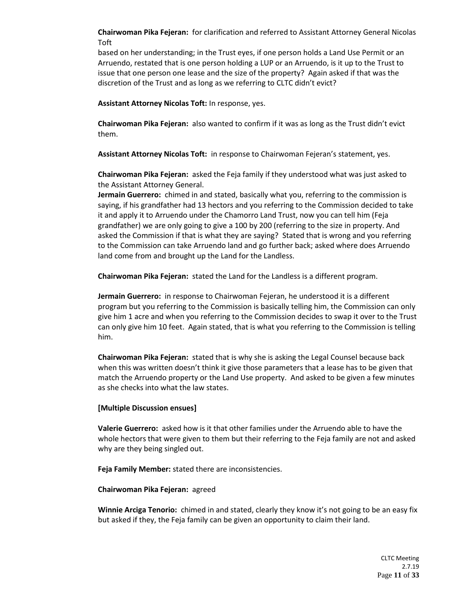**Chairwoman Pika Fejeran:** for clarification and referred to Assistant Attorney General Nicolas Toft

based on her understanding; in the Trust eyes, if one person holds a Land Use Permit or an Arruendo, restated that is one person holding a LUP or an Arruendo, is it up to the Trust to issue that one person one lease and the size of the property? Again asked if that was the discretion of the Trust and as long as we referring to CLTC didn't evict?

**Assistant Attorney Nicolas Toft:** In response, yes.

**Chairwoman Pika Fejeran:** also wanted to confirm if it was as long as the Trust didn't evict them.

**Assistant Attorney Nicolas Toft:** in response to Chairwoman Fejeran's statement, yes.

**Chairwoman Pika Fejeran:** asked the Feja family if they understood what was just asked to the Assistant Attorney General.

**Jermain Guerrero:** chimed in and stated, basically what you, referring to the commission is saying, if his grandfather had 13 hectors and you referring to the Commission decided to take it and apply it to Arruendo under the Chamorro Land Trust, now you can tell him (Feja grandfather) we are only going to give a 100 by 200 (referring to the size in property. And asked the Commission if that is what they are saying? Stated that is wrong and you referring to the Commission can take Arruendo land and go further back; asked where does Arruendo land come from and brought up the Land for the Landless.

**Chairwoman Pika Fejeran:** stated the Land for the Landless is a different program.

**Jermain Guerrero:** in response to Chairwoman Fejeran, he understood it is a different program but you referring to the Commission is basically telling him, the Commission can only give him 1 acre and when you referring to the Commission decides to swap it over to the Trust can only give him 10 feet. Again stated, that is what you referring to the Commission is telling him.

**Chairwoman Pika Fejeran:** stated that is why she is asking the Legal Counsel because back when this was written doesn't think it give those parameters that a lease has to be given that match the Arruendo property or the Land Use property. And asked to be given a few minutes as she checks into what the law states.

# **[Multiple Discussion ensues]**

**Valerie Guerrero:** asked how is it that other families under the Arruendo able to have the whole hectors that were given to them but their referring to the Feja family are not and asked why are they being singled out.

**Feja Family Member:** stated there are inconsistencies.

#### **Chairwoman Pika Fejeran:** agreed

**Winnie Arciga Tenorio:** chimed in and stated, clearly they know it's not going to be an easy fix but asked if they, the Feja family can be given an opportunity to claim their land.

> CLTC Meeting 2.7.19 Page **11** of **33**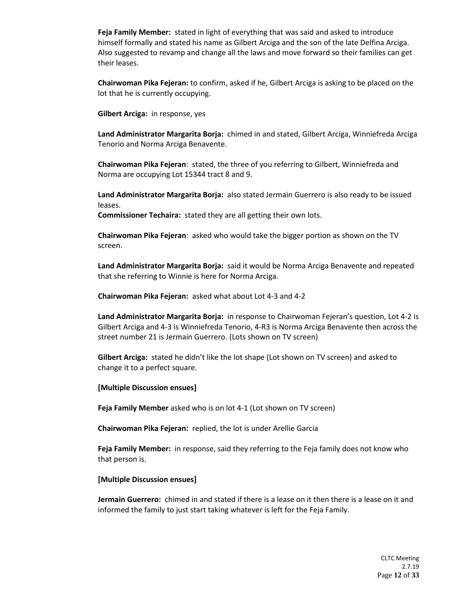**Feja Family Member:** stated in light of everything that was said and asked to introduce himself formally and stated his name as Gilbert Arciga and the son of the late Delfina Arciga. Also suggested to revamp and change all the laws and move forward so their families can get their leases.

**Chairwoman Pika Fejeran:** to confirm, asked if he, Gilbert Arciga is asking to be placed on the lot that he is currently occupying.

**Gilbert Arciga:** in response, yes

**Land Administrator Margarita Borja:** chimed in and stated, Gilbert Arciga, Winniefreda Arciga Tenorio and Norma Arciga Benavente.

**Chairwoman Pika Fejeran**: stated, the three of you referring to Gilbert, Winniefreda and Norma are occupying Lot 15344 tract 8 and 9.

**Land Administrator Margarita Borja:** also stated Jermain Guerrero is also ready to be issued leases.

**Commissioner Techaira:** stated they are all getting their own lots.

**Chairwoman Pika Fejeran**: asked who would take the bigger portion as shown on the TV screen.

**Land Administrator Margarita Borja:** said it would be Norma Arciga Benavente and repeated that she referring to Winnie is here for Norma Arciga.

**Chairwoman Pika Fejeran:** asked what about Lot 4-3 and 4-2

**Land Administrator Margarita Borja:** in response to Chairwoman Fejeran's question, Lot 4-2 is Gilbert Arciga and 4-3 is Winniefreda Tenorio, 4-R3 is Norma Arciga Benavente then across the street number 21 is Jermain Guerrero. (Lots shown on TV screen)

**Gilbert Arciga:** stated he didn't like the lot shape (Lot shown on TV screen) and asked to change it to a perfect square.

**[Multiple Discussion ensues]**

**Feja Family Member** asked who is on lot 4-1 (Lot shown on TV screen)

**Chairwoman Pika Fejeran:** replied, the lot is under Arellie Garcia

**Feja Family Member:** in response, said they referring to the Feja family does not know who that person is.

**[Multiple Discussion ensues]**

**Jermain Guerrero:** chimed in and stated if there is a lease on it then there is a lease on it and informed the family to just start taking whatever is left for the Feja Family.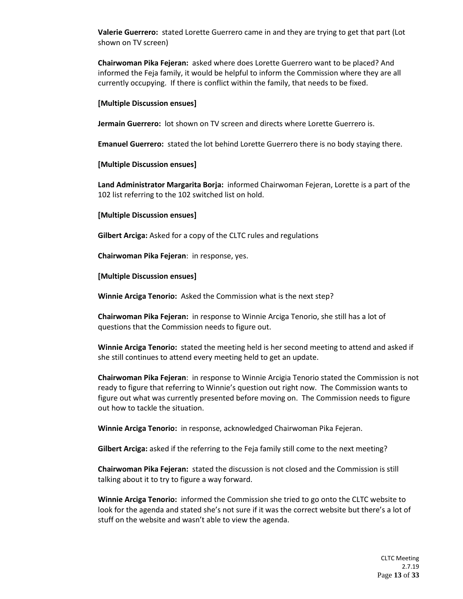**Valerie Guerrero:** stated Lorette Guerrero came in and they are trying to get that part (Lot shown on TV screen)

**Chairwoman Pika Fejeran:** asked where does Lorette Guerrero want to be placed? And informed the Feja family, it would be helpful to inform the Commission where they are all currently occupying. If there is conflict within the family, that needs to be fixed.

#### **[Multiple Discussion ensues]**

**Jermain Guerrero:** lot shown on TV screen and directs where Lorette Guerrero is.

**Emanuel Guerrero:** stated the lot behind Lorette Guerrero there is no body staying there.

#### **[Multiple Discussion ensues]**

**Land Administrator Margarita Borja:** informed Chairwoman Fejeran, Lorette is a part of the 102 list referring to the 102 switched list on hold.

#### **[Multiple Discussion ensues]**

**Gilbert Arciga:** Asked for a copy of the CLTC rules and regulations

**Chairwoman Pika Fejeran**: in response, yes.

**[Multiple Discussion ensues]**

**Winnie Arciga Tenorio:** Asked the Commission what is the next step?

**Chairwoman Pika Fejeran:** in response to Winnie Arciga Tenorio, she still has a lot of questions that the Commission needs to figure out.

**Winnie Arciga Tenorio:** stated the meeting held is her second meeting to attend and asked if she still continues to attend every meeting held to get an update.

**Chairwoman Pika Fejeran**: in response to Winnie Arcigia Tenorio stated the Commission is not ready to figure that referring to Winnie's question out right now. The Commission wants to figure out what was currently presented before moving on. The Commission needs to figure out how to tackle the situation.

**Winnie Arciga Tenorio:** in response, acknowledged Chairwoman Pika Fejeran.

**Gilbert Arciga:** asked if the referring to the Feja family still come to the next meeting?

**Chairwoman Pika Fejeran:** stated the discussion is not closed and the Commission is still talking about it to try to figure a way forward.

**Winnie Arciga Tenorio:** informed the Commission she tried to go onto the CLTC website to look for the agenda and stated she's not sure if it was the correct website but there's a lot of stuff on the website and wasn't able to view the agenda.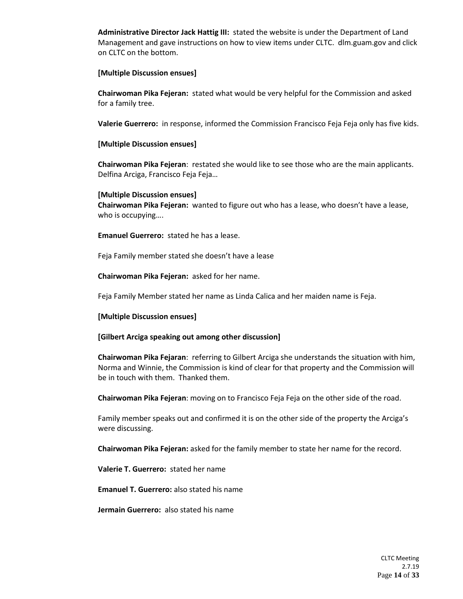**Administrative Director Jack Hattig III:** stated the website is under the Department of Land Management and gave instructions on how to view items under CLTC. dlm.guam.gov and click on CLTC on the bottom.

#### **[Multiple Discussion ensues]**

**Chairwoman Pika Fejeran:** stated what would be very helpful for the Commission and asked for a family tree.

**Valerie Guerrero:** in response, informed the Commission Francisco Feja Feja only has five kids.

#### **[Multiple Discussion ensues]**

**Chairwoman Pika Fejeran**: restated she would like to see those who are the main applicants. Delfina Arciga, Francisco Feja Feja…

**[Multiple Discussion ensues] Chairwoman Pika Fejeran:** wanted to figure out who has a lease, who doesn't have a lease, who is occupying….

**Emanuel Guerrero:** stated he has a lease.

Feja Family member stated she doesn't have a lease

**Chairwoman Pika Fejeran:** asked for her name.

Feja Family Member stated her name as Linda Calica and her maiden name is Feja.

#### **[Multiple Discussion ensues]**

#### **[Gilbert Arciga speaking out among other discussion]**

**Chairwoman Pika Fejaran**: referring to Gilbert Arciga she understands the situation with him, Norma and Winnie, the Commission is kind of clear for that property and the Commission will be in touch with them. Thanked them.

**Chairwoman Pika Fejeran**: moving on to Francisco Feja Feja on the other side of the road.

Family member speaks out and confirmed it is on the other side of the property the Arciga's were discussing.

**Chairwoman Pika Fejeran:** asked for the family member to state her name for the record.

**Valerie T. Guerrero:** stated her name

**Emanuel T. Guerrero:** also stated his name

**Jermain Guerrero:** also stated his name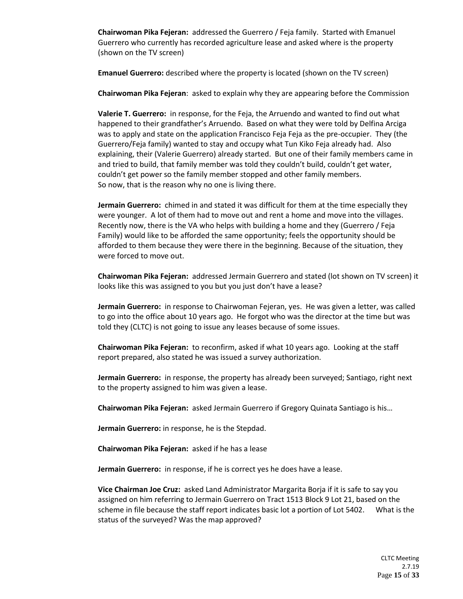**Chairwoman Pika Fejeran:** addressed the Guerrero / Feja family. Started with Emanuel Guerrero who currently has recorded agriculture lease and asked where is the property (shown on the TV screen)

**Emanuel Guerrero:** described where the property is located (shown on the TV screen)

**Chairwoman Pika Fejeran**: asked to explain why they are appearing before the Commission

**Valerie T. Guerrero:** in response, for the Feja, the Arruendo and wanted to find out what happened to their grandfather's Arruendo. Based on what they were told by Delfina Arciga was to apply and state on the application Francisco Feja Feja as the pre-occupier. They (the Guerrero/Feja family) wanted to stay and occupy what Tun Kiko Feja already had. Also explaining, their (Valerie Guerrero) already started. But one of their family members came in and tried to build, that family member was told they couldn't build, couldn't get water, couldn't get power so the family member stopped and other family members. So now, that is the reason why no one is living there.

**Jermain Guerrero:** chimed in and stated it was difficult for them at the time especially they were younger. A lot of them had to move out and rent a home and move into the villages. Recently now, there is the VA who helps with building a home and they (Guerrero / Feja Family) would like to be afforded the same opportunity; feels the opportunity should be afforded to them because they were there in the beginning. Because of the situation, they were forced to move out.

**Chairwoman Pika Fejeran:** addressed Jermain Guerrero and stated (lot shown on TV screen) it looks like this was assigned to you but you just don't have a lease?

**Jermain Guerrero:** in response to Chairwoman Fejeran, yes. He was given a letter, was called to go into the office about 10 years ago. He forgot who was the director at the time but was told they (CLTC) is not going to issue any leases because of some issues.

**Chairwoman Pika Fejeran:** to reconfirm, asked if what 10 years ago. Looking at the staff report prepared, also stated he was issued a survey authorization.

**Jermain Guerrero:** in response, the property has already been surveyed; Santiago, right next to the property assigned to him was given a lease.

**Chairwoman Pika Fejeran:** asked Jermain Guerrero if Gregory Quinata Santiago is his…

**Jermain Guerrero:** in response, he is the Stepdad.

**Chairwoman Pika Fejeran:** asked if he has a lease

**Jermain Guerrero:** in response, if he is correct yes he does have a lease.

**Vice Chairman Joe Cruz:** asked Land Administrator Margarita Borja if it is safe to say you assigned on him referring to Jermain Guerrero on Tract 1513 Block 9 Lot 21, based on the scheme in file because the staff report indicates basic lot a portion of Lot 5402. What is the status of the surveyed? Was the map approved?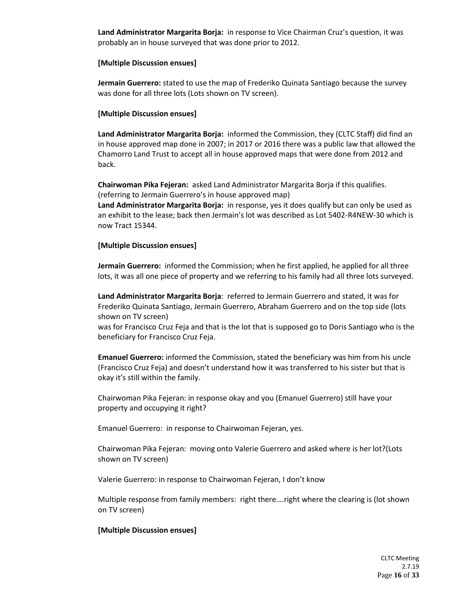**Land Administrator Margarita Borja:** in response to Vice Chairman Cruz's question, it was probably an in house surveyed that was done prior to 2012.

## **[Multiple Discussion ensues]**

**Jermain Guerrero:** stated to use the map of Frederiko Quinata Santiago because the survey was done for all three lots (Lots shown on TV screen).

# **[Multiple Discussion ensues]**

**Land Administrator Margarita Borja:** informed the Commission, they (CLTC Staff) did find an in house approved map done in 2007; in 2017 or 2016 there was a public law that allowed the Chamorro Land Trust to accept all in house approved maps that were done from 2012 and back.

**Chairwoman Pika Fejeran:** asked Land Administrator Margarita Borja if this qualifies. (referring to Jermain Guerrero's in house approved map)

**Land Administrator Margarita Borja:** in response, yes it does qualify but can only be used as an exhibit to the lease; back then Jermain's lot was described as Lot 5402-R4NEW-30 which is now Tract 15344.

# **[Multiple Discussion ensues]**

**Jermain Guerrero:** informed the Commission; when he first applied, he applied for all three lots, it was all one piece of property and we referring to his family had all three lots surveyed.

**Land Administrator Margarita Borja**: referred to Jermain Guerrero and stated, it was for Frederiko Quinata Santiago, Jermain Guerrero, Abraham Guerrero and on the top side (lots shown on TV screen)

was for Francisco Cruz Feja and that is the lot that is supposed go to Doris Santiago who is the beneficiary for Francisco Cruz Feja.

**Emanuel Guerrero:** informed the Commission, stated the beneficiary was him from his uncle (Francisco Cruz Feja) and doesn't understand how it was transferred to his sister but that is okay it's still within the family.

Chairwoman Pika Fejeran: in response okay and you (Emanuel Guerrero) still have your property and occupying it right?

Emanuel Guerrero: in response to Chairwoman Fejeran, yes.

Chairwoman Pika Fejeran: moving onto Valerie Guerrero and asked where is her lot?(Lots shown on TV screen)

Valerie Guerrero: in response to Chairwoman Fejeran, I don't know

Multiple response from family members: right there….right where the clearing is (lot shown on TV screen)

# **[Multiple Discussion ensues]**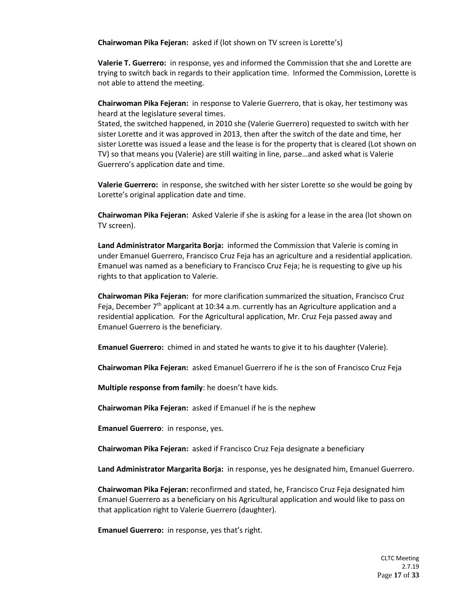**Chairwoman Pika Fejeran:** asked if (lot shown on TV screen is Lorette's)

**Valerie T. Guerrero:** in response, yes and informed the Commission that she and Lorette are trying to switch back in regards to their application time. Informed the Commission, Lorette is not able to attend the meeting.

**Chairwoman Pika Fejeran:** in response to Valerie Guerrero, that is okay, her testimony was heard at the legislature several times.

Stated, the switched happened, in 2010 she (Valerie Guerrero) requested to switch with her sister Lorette and it was approved in 2013, then after the switch of the date and time, her sister Lorette was issued a lease and the lease is for the property that is cleared (Lot shown on TV) so that means you (Valerie) are still waiting in line, parse…and asked what is Valerie Guerrero's application date and time.

**Valerie Guerrero:** in response, she switched with her sister Lorette so she would be going by Lorette's original application date and time.

**Chairwoman Pika Fejeran:** Asked Valerie if she is asking for a lease in the area (lot shown on TV screen).

**Land Administrator Margarita Borja:** informed the Commission that Valerie is coming in under Emanuel Guerrero, Francisco Cruz Feja has an agriculture and a residential application. Emanuel was named as a beneficiary to Francisco Cruz Feja; he is requesting to give up his rights to that application to Valerie.

**Chairwoman Pika Fejeran:** for more clarification summarized the situation, Francisco Cruz Feja, December  $7<sup>th</sup>$  applicant at 10:34 a.m. currently has an Agriculture application and a residential application. For the Agricultural application, Mr. Cruz Feja passed away and Emanuel Guerrero is the beneficiary.

**Emanuel Guerrero:** chimed in and stated he wants to give it to his daughter (Valerie).

**Chairwoman Pika Fejeran:** asked Emanuel Guerrero if he is the son of Francisco Cruz Feja

**Multiple response from family**: he doesn't have kids.

**Chairwoman Pika Fejeran:** asked if Emanuel if he is the nephew

**Emanuel Guerrero**: in response, yes.

**Chairwoman Pika Fejeran:** asked if Francisco Cruz Feja designate a beneficiary

**Land Administrator Margarita Borja:** in response, yes he designated him, Emanuel Guerrero.

**Chairwoman Pika Fejeran:** reconfirmed and stated, he, Francisco Cruz Feja designated him Emanuel Guerrero as a beneficiary on his Agricultural application and would like to pass on that application right to Valerie Guerrero (daughter).

**Emanuel Guerrero:** in response, yes that's right.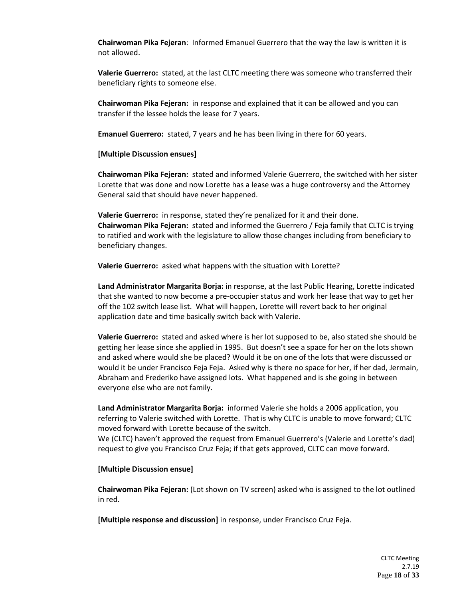**Chairwoman Pika Fejeran**: Informed Emanuel Guerrero that the way the law is written it is not allowed.

**Valerie Guerrero:** stated, at the last CLTC meeting there was someone who transferred their beneficiary rights to someone else.

**Chairwoman Pika Fejeran:** in response and explained that it can be allowed and you can transfer if the lessee holds the lease for 7 years.

**Emanuel Guerrero:** stated, 7 years and he has been living in there for 60 years.

#### **[Multiple Discussion ensues]**

**Chairwoman Pika Fejeran:** stated and informed Valerie Guerrero, the switched with her sister Lorette that was done and now Lorette has a lease was a huge controversy and the Attorney General said that should have never happened.

**Valerie Guerrero:** in response, stated they're penalized for it and their done. **Chairwoman Pika Fejeran:** stated and informed the Guerrero / Feja family that CLTC is trying to ratified and work with the legislature to allow those changes including from beneficiary to beneficiary changes.

**Valerie Guerrero:** asked what happens with the situation with Lorette?

**Land Administrator Margarita Borja:** in response, at the last Public Hearing, Lorette indicated that she wanted to now become a pre-occupier status and work her lease that way to get her off the 102 switch lease list. What will happen, Lorette will revert back to her original application date and time basically switch back with Valerie.

**Valerie Guerrero:** stated and asked where is her lot supposed to be, also stated she should be getting her lease since she applied in 1995. But doesn't see a space for her on the lots shown and asked where would she be placed? Would it be on one of the lots that were discussed or would it be under Francisco Feja Feja. Asked why is there no space for her, if her dad, Jermain, Abraham and Frederiko have assigned lots. What happened and is she going in between everyone else who are not family.

**Land Administrator Margarita Borja:** informed Valerie she holds a 2006 application, you referring to Valerie switched with Lorette. That is why CLTC is unable to move forward; CLTC moved forward with Lorette because of the switch.

We (CLTC) haven't approved the request from Emanuel Guerrero's (Valerie and Lorette's dad) request to give you Francisco Cruz Feja; if that gets approved, CLTC can move forward.

#### **[Multiple Discussion ensue]**

**Chairwoman Pika Fejeran:** (Lot shown on TV screen) asked who is assigned to the lot outlined in red.

**[Multiple response and discussion]** in response, under Francisco Cruz Feja.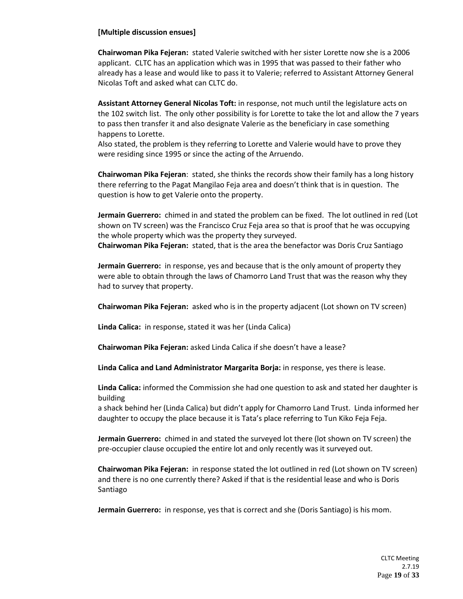# **[Multiple discussion ensues]**

**Chairwoman Pika Fejeran:** stated Valerie switched with her sister Lorette now she is a 2006 applicant. CLTC has an application which was in 1995 that was passed to their father who already has a lease and would like to pass it to Valerie; referred to Assistant Attorney General Nicolas Toft and asked what can CLTC do.

**Assistant Attorney General Nicolas Toft:** in response, not much until the legislature acts on the 102 switch list. The only other possibility is for Lorette to take the lot and allow the 7 years to pass then transfer it and also designate Valerie as the beneficiary in case something happens to Lorette.

Also stated, the problem is they referring to Lorette and Valerie would have to prove they were residing since 1995 or since the acting of the Arruendo.

**Chairwoman Pika Fejeran**: stated, she thinks the records show their family has a long history there referring to the Pagat Mangilao Feja area and doesn't think that is in question. The question is how to get Valerie onto the property.

**Jermain Guerrero:** chimed in and stated the problem can be fixed. The lot outlined in red (Lot shown on TV screen) was the Francisco Cruz Feja area so that is proof that he was occupying the whole property which was the property they surveyed.

**Chairwoman Pika Fejeran:** stated, that is the area the benefactor was Doris Cruz Santiago

**Jermain Guerrero:** in response, yes and because that is the only amount of property they were able to obtain through the laws of Chamorro Land Trust that was the reason why they had to survey that property.

**Chairwoman Pika Fejeran:** asked who is in the property adjacent (Lot shown on TV screen)

**Linda Calica:** in response, stated it was her (Linda Calica)

**Chairwoman Pika Fejeran:** asked Linda Calica if she doesn't have a lease?

**Linda Calica and Land Administrator Margarita Borja:** in response, yes there is lease.

**Linda Calica:** informed the Commission she had one question to ask and stated her daughter is building

a shack behind her (Linda Calica) but didn't apply for Chamorro Land Trust. Linda informed her daughter to occupy the place because it is Tata's place referring to Tun Kiko Feja Feja.

**Jermain Guerrero:** chimed in and stated the surveyed lot there (lot shown on TV screen) the pre-occupier clause occupied the entire lot and only recently was it surveyed out.

**Chairwoman Pika Fejeran:** in response stated the lot outlined in red (Lot shown on TV screen) and there is no one currently there? Asked if that is the residential lease and who is Doris Santiago

**Jermain Guerrero:** in response, yes that is correct and she (Doris Santiago) is his mom.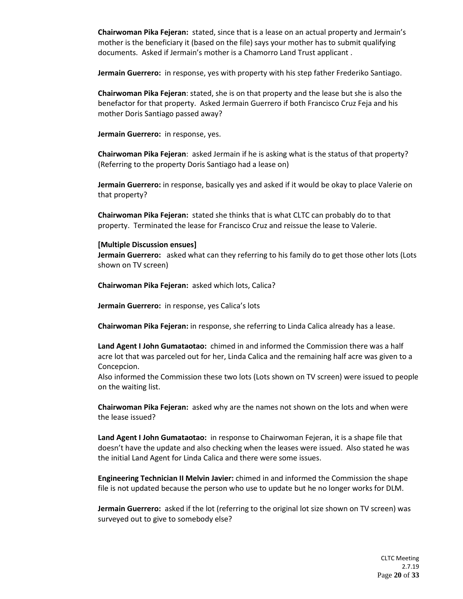**Chairwoman Pika Fejeran:** stated, since that is a lease on an actual property and Jermain's mother is the beneficiary it (based on the file) says your mother has to submit qualifying documents. Asked if Jermain's mother is a Chamorro Land Trust applicant .

**Jermain Guerrero:** in response, yes with property with his step father Frederiko Santiago.

**Chairwoman Pika Fejeran**: stated, she is on that property and the lease but she is also the benefactor for that property. Asked Jermain Guerrero if both Francisco Cruz Feja and his mother Doris Santiago passed away?

**Jermain Guerrero:** in response, yes.

**Chairwoman Pika Fejeran**: asked Jermain if he is asking what is the status of that property? (Referring to the property Doris Santiago had a lease on)

**Jermain Guerrero:** in response, basically yes and asked if it would be okay to place Valerie on that property?

**Chairwoman Pika Fejeran:** stated she thinks that is what CLTC can probably do to that property. Terminated the lease for Francisco Cruz and reissue the lease to Valerie.

#### **[Multiple Discussion ensues]**

**Jermain Guerrero:** asked what can they referring to his family do to get those other lots (Lots shown on TV screen)

**Chairwoman Pika Fejeran:** asked which lots, Calica?

**Jermain Guerrero:** in response, yes Calica's lots

**Chairwoman Pika Fejeran:** in response, she referring to Linda Calica already has a lease.

**Land Agent I John Gumataotao:** chimed in and informed the Commission there was a half acre lot that was parceled out for her, Linda Calica and the remaining half acre was given to a Concepcion.

Also informed the Commission these two lots (Lots shown on TV screen) were issued to people on the waiting list.

**Chairwoman Pika Fejeran:** asked why are the names not shown on the lots and when were the lease issued?

**Land Agent I John Gumataotao:** in response to Chairwoman Fejeran, it is a shape file that doesn't have the update and also checking when the leases were issued. Also stated he was the initial Land Agent for Linda Calica and there were some issues.

**Engineering Technician II Melvin Javier:** chimed in and informed the Commission the shape file is not updated because the person who use to update but he no longer works for DLM.

**Jermain Guerrero:** asked if the lot (referring to the original lot size shown on TV screen) was surveyed out to give to somebody else?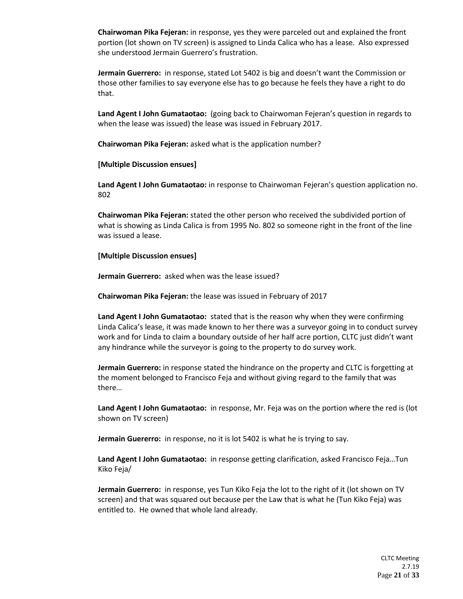**Chairwoman Pika Fejeran:** in response, yes they were parceled out and explained the front portion (lot shown on TV screen) is assigned to Linda Calica who has a lease. Also expressed she understood Jermain Guerrero's frustration.

**Jermain Guerrero:** in response, stated Lot 5402 is big and doesn't want the Commission or those other families to say everyone else has to go because he feels they have a right to do that.

**Land Agent I John Gumataotao:** (going back to Chairwoman Fejeran's question in regards to when the lease was issued) the lease was issued in February 2017.

**Chairwoman Pika Fejeran:** asked what is the application number?

## **[Multiple Discussion ensues]**

**Land Agent I John Gumataotao:** in response to Chairwoman Fejeran's question application no. 802

**Chairwoman Pika Fejeran:** stated the other person who received the subdivided portion of what is showing as Linda Calica is from 1995 No. 802 so someone right in the front of the line was issued a lease.

## **[Multiple Discussion ensues]**

**Jermain Guerrero:** asked when was the lease issued?

**Chairwoman Pika Fejeran:** the lease was issued in February of 2017

**Land Agent I John Gumataotao:** stated that is the reason why when they were confirming Linda Calica's lease, it was made known to her there was a surveyor going in to conduct survey work and for Linda to claim a boundary outside of her half acre portion, CLTC just didn't want any hindrance while the surveyor is going to the property to do survey work.

**Jermain Guerrero:** in response stated the hindrance on the property and CLTC is forgetting at the moment belonged to Francisco Feja and without giving regard to the family that was there…

**Land Agent I John Gumataotao:** in response, Mr. Feja was on the portion where the red is (lot shown on TV screen)

**Jermain Guererro:** in response, no it is lot 5402 is what he is trying to say.

**Land Agent I John Gumataotao:** in response getting clarification, asked Francisco Feja…Tun Kiko Feja/

**Jermain Guerrero:** in response, yes Tun Kiko Feja the lot to the right of it (lot shown on TV screen) and that was squared out because per the Law that is what he (Tun Kiko Feja) was entitled to. He owned that whole land already.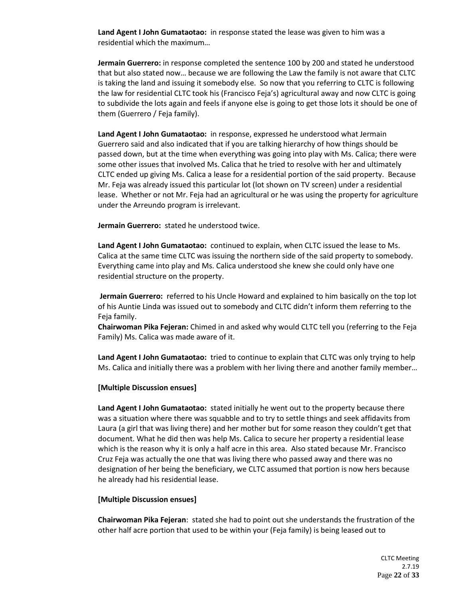**Land Agent I John Gumataotao:** in response stated the lease was given to him was a residential which the maximum…

**Jermain Guerrero:** in response completed the sentence 100 by 200 and stated he understood that but also stated now… because we are following the Law the family is not aware that CLTC is taking the land and issuing it somebody else. So now that you referring to CLTC is following the law for residential CLTC took his (Francisco Feja's) agricultural away and now CLTC is going to subdivide the lots again and feels if anyone else is going to get those lots it should be one of them (Guerrero / Feja family).

**Land Agent I John Gumataotao:** in response, expressed he understood what Jermain Guerrero said and also indicated that if you are talking hierarchy of how things should be passed down, but at the time when everything was going into play with Ms. Calica; there were some other issues that involved Ms. Calica that he tried to resolve with her and ultimately CLTC ended up giving Ms. Calica a lease for a residential portion of the said property. Because Mr. Feja was already issued this particular lot (lot shown on TV screen) under a residential lease. Whether or not Mr. Feja had an agricultural or he was using the property for agriculture under the Arreundo program is irrelevant.

**Jermain Guerrero:** stated he understood twice.

**Land Agent I John Gumataotao:** continued to explain, when CLTC issued the lease to Ms. Calica at the same time CLTC was issuing the northern side of the said property to somebody. Everything came into play and Ms. Calica understood she knew she could only have one residential structure on the property.

**Jermain Guerrero:** referred to his Uncle Howard and explained to him basically on the top lot of his Auntie Linda was issued out to somebody and CLTC didn't inform them referring to the Feja family.

**Chairwoman Pika Fejeran:** Chimed in and asked why would CLTC tell you (referring to the Feja Family) Ms. Calica was made aware of it.

**Land Agent I John Gumataotao:** tried to continue to explain that CLTC was only trying to help Ms. Calica and initially there was a problem with her living there and another family member…

#### **[Multiple Discussion ensues]**

**Land Agent I John Gumataotao:** stated initially he went out to the property because there was a situation where there was squabble and to try to settle things and seek affidavits from Laura (a girl that was living there) and her mother but for some reason they couldn't get that document. What he did then was help Ms. Calica to secure her property a residential lease which is the reason why it is only a half acre in this area. Also stated because Mr. Francisco Cruz Feja was actually the one that was living there who passed away and there was no designation of her being the beneficiary, we CLTC assumed that portion is now hers because he already had his residential lease.

#### **[Multiple Discussion ensues]**

**Chairwoman Pika Fejeran**: stated she had to point out she understands the frustration of the other half acre portion that used to be within your (Feja family) is being leased out to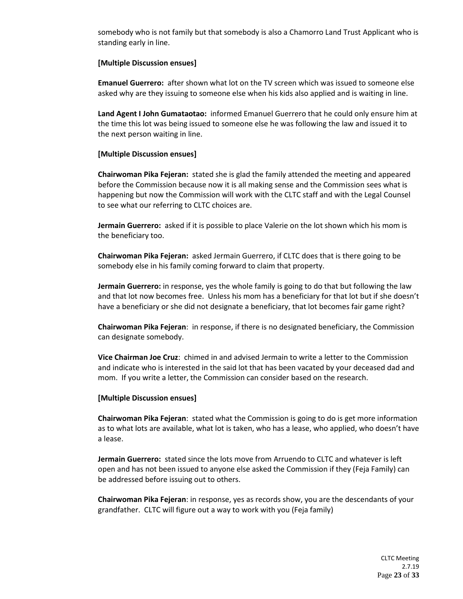somebody who is not family but that somebody is also a Chamorro Land Trust Applicant who is standing early in line.

## **[Multiple Discussion ensues]**

**Emanuel Guerrero:** after shown what lot on the TV screen which was issued to someone else asked why are they issuing to someone else when his kids also applied and is waiting in line.

**Land Agent I John Gumataotao:** informed Emanuel Guerrero that he could only ensure him at the time this lot was being issued to someone else he was following the law and issued it to the next person waiting in line.

# **[Multiple Discussion ensues]**

**Chairwoman Pika Fejeran:** stated she is glad the family attended the meeting and appeared before the Commission because now it is all making sense and the Commission sees what is happening but now the Commission will work with the CLTC staff and with the Legal Counsel to see what our referring to CLTC choices are.

**Jermain Guerrero:** asked if it is possible to place Valerie on the lot shown which his mom is the beneficiary too.

**Chairwoman Pika Fejeran:** asked Jermain Guerrero, if CLTC does that is there going to be somebody else in his family coming forward to claim that property.

**Jermain Guerrero:** in response, yes the whole family is going to do that but following the law and that lot now becomes free. Unless his mom has a beneficiary for that lot but if she doesn't have a beneficiary or she did not designate a beneficiary, that lot becomes fair game right?

**Chairwoman Pika Fejeran**: in response, if there is no designated beneficiary, the Commission can designate somebody.

**Vice Chairman Joe Cruz**: chimed in and advised Jermain to write a letter to the Commission and indicate who is interested in the said lot that has been vacated by your deceased dad and mom. If you write a letter, the Commission can consider based on the research.

#### **[Multiple Discussion ensues]**

**Chairwoman Pika Fejeran**: stated what the Commission is going to do is get more information as to what lots are available, what lot is taken, who has a lease, who applied, who doesn't have a lease.

**Jermain Guerrero:** stated since the lots move from Arruendo to CLTC and whatever is left open and has not been issued to anyone else asked the Commission if they (Feja Family) can be addressed before issuing out to others.

**Chairwoman Pika Fejeran**: in response, yes as records show, you are the descendants of your grandfather. CLTC will figure out a way to work with you (Feja family)

> CLTC Meeting 2.7.19 Page **23** of **33**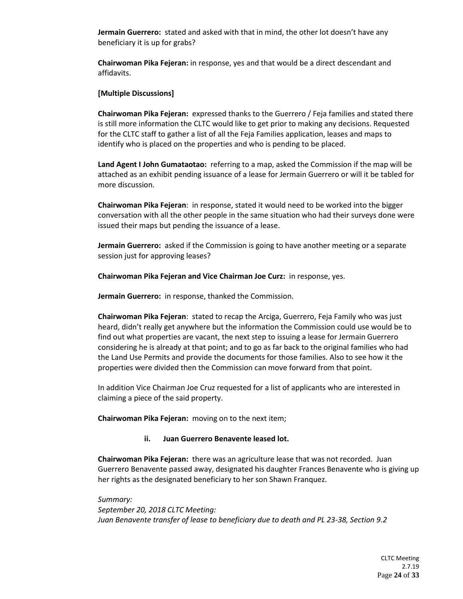**Jermain Guerrero:** stated and asked with that in mind, the other lot doesn't have any beneficiary it is up for grabs?

**Chairwoman Pika Fejeran:** in response, yes and that would be a direct descendant and affidavits.

### **[Multiple Discussions]**

**Chairwoman Pika Fejeran:** expressed thanks to the Guerrero / Feja families and stated there is still more information the CLTC would like to get prior to making any decisions. Requested for the CLTC staff to gather a list of all the Feja Families application, leases and maps to identify who is placed on the properties and who is pending to be placed.

**Land Agent I John Gumataotao:** referring to a map, asked the Commission if the map will be attached as an exhibit pending issuance of a lease for Jermain Guerrero or will it be tabled for more discussion.

**Chairwoman Pika Fejeran**: in response, stated it would need to be worked into the bigger conversation with all the other people in the same situation who had their surveys done were issued their maps but pending the issuance of a lease.

**Jermain Guerrero:** asked if the Commission is going to have another meeting or a separate session just for approving leases?

**Chairwoman Pika Fejeran and Vice Chairman Joe Curz:** in response, yes.

**Jermain Guerrero:** in response, thanked the Commission.

**Chairwoman Pika Fejeran**: stated to recap the Arciga, Guerrero, Feja Family who was just heard, didn't really get anywhere but the information the Commission could use would be to find out what properties are vacant, the next step to issuing a lease for Jermain Guerrero considering he is already at that point; and to go as far back to the original families who had the Land Use Permits and provide the documents for those families. Also to see how it the properties were divided then the Commission can move forward from that point.

In addition Vice Chairman Joe Cruz requested for a list of applicants who are interested in claiming a piece of the said property.

**Chairwoman Pika Fejeran:** moving on to the next item;

#### **ii. Juan Guerrero Benavente leased lot.**

**Chairwoman Pika Fejeran:** there was an agriculture lease that was not recorded. Juan Guerrero Benavente passed away, designated his daughter Frances Benavente who is giving up her rights as the designated beneficiary to her son Shawn Franquez.

*Summary: September 20, 2018 CLTC Meeting: Juan Benavente transfer of lease to beneficiary due to death and PL 23-38, Section 9.2*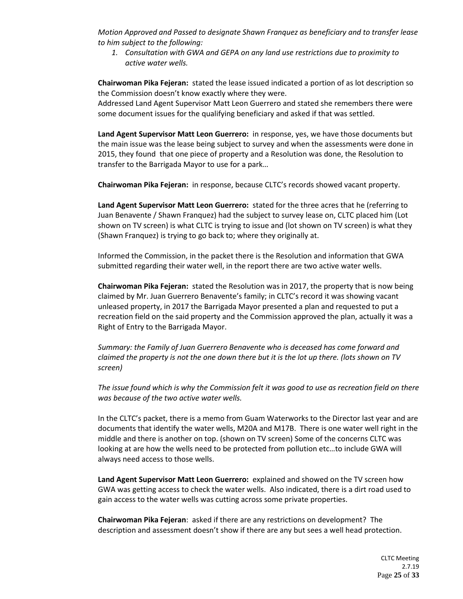*Motion Approved and Passed to designate Shawn Franquez as beneficiary and to transfer lease to him subject to the following:* 

*1. Consultation with GWA and GEPA on any land use restrictions due to proximity to active water wells.* 

**Chairwoman Pika Fejeran:** stated the lease issued indicated a portion of as lot description so the Commission doesn't know exactly where they were.

Addressed Land Agent Supervisor Matt Leon Guerrero and stated she remembers there were some document issues for the qualifying beneficiary and asked if that was settled.

**Land Agent Supervisor Matt Leon Guerrero:** in response, yes, we have those documents but the main issue was the lease being subject to survey and when the assessments were done in 2015, they found that one piece of property and a Resolution was done, the Resolution to transfer to the Barrigada Mayor to use for a park…

**Chairwoman Pika Fejeran:** in response, because CLTC's records showed vacant property.

**Land Agent Supervisor Matt Leon Guerrero:** stated for the three acres that he (referring to Juan Benavente / Shawn Franquez) had the subject to survey lease on, CLTC placed him (Lot shown on TV screen) is what CLTC is trying to issue and (lot shown on TV screen) is what they (Shawn Franquez) is trying to go back to; where they originally at.

Informed the Commission, in the packet there is the Resolution and information that GWA submitted regarding their water well, in the report there are two active water wells.

**Chairwoman Pika Fejeran:** stated the Resolution was in 2017, the property that is now being claimed by Mr. Juan Guerrero Benavente's family; in CLTC's record it was showing vacant unleased property, in 2017 the Barrigada Mayor presented a plan and requested to put a recreation field on the said property and the Commission approved the plan, actually it was a Right of Entry to the Barrigada Mayor.

*Summary: the Family of Juan Guerrero Benavente who is deceased has come forward and claimed the property is not the one down there but it is the lot up there. (lots shown on TV screen)*

*The issue found which is why the Commission felt it was good to use as recreation field on there was because of the two active water wells.* 

In the CLTC's packet, there is a memo from Guam Waterworks to the Director last year and are documents that identify the water wells, M20A and M17B. There is one water well right in the middle and there is another on top. (shown on TV screen) Some of the concerns CLTC was looking at are how the wells need to be protected from pollution etc…to include GWA will always need access to those wells.

**Land Agent Supervisor Matt Leon Guerrero:** explained and showed on the TV screen how GWA was getting access to check the water wells. Also indicated, there is a dirt road used to gain access to the water wells was cutting across some private properties.

**Chairwoman Pika Fejeran**: asked if there are any restrictions on development? The description and assessment doesn't show if there are any but sees a well head protection.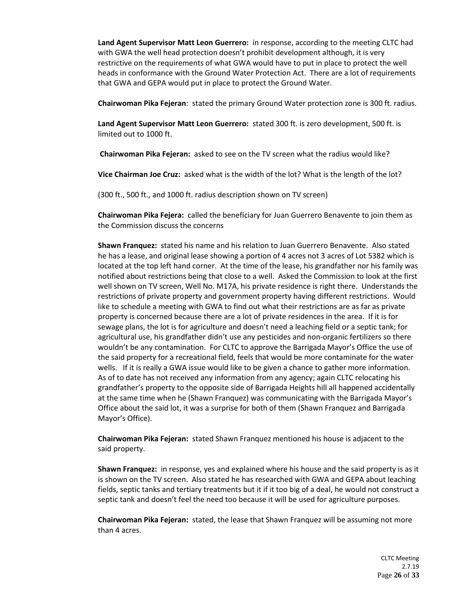**Land Agent Supervisor Matt Leon Guerrero:** in response, according to the meeting CLTC had with GWA the well head protection doesn't prohibit development although, it is very restrictive on the requirements of what GWA would have to put in place to protect the well heads in conformance with the Ground Water Protection Act. There are a lot of requirements that GWA and GEPA would put in place to protect the Ground Water.

**Chairwoman Pika Fejeran**: stated the primary Ground Water protection zone is 300 ft. radius.

**Land Agent Supervisor Matt Leon Guerrero:** stated 300 ft. is zero development, 500 ft. is limited out to 1000 ft.

**Chairwoman Pika Fejeran:** asked to see on the TV screen what the radius would like?

**Vice Chairman Joe Cruz:** asked what is the width of the lot? What is the length of the lot?

(300 ft., 500 ft., and 1000 ft. radius description shown on TV screen)

**Chairwoman Pika Fejera:** called the beneficiary for Juan Guerrero Benavente to join them as the Commission discuss the concerns

**Shawn Franquez:** stated his name and his relation to Juan Guerrero Benavente. Also stated he has a lease, and original lease showing a portion of 4 acres not 3 acres of Lot 5382 which is located at the top left hand corner. At the time of the lease, his grandfather nor his family was notified about restrictions being that close to a well. Asked the Commission to look at the first well shown on TV screen, Well No. M17A, his private residence is right there. Understands the restrictions of private property and government property having different restrictions. Would like to schedule a meeting with GWA to find out what their restrictions are as far as private property is concerned because there are a lot of private residences in the area. If it is for sewage plans, the lot is for agriculture and doesn't need a leaching field or a septic tank; for agricultural use, his grandfather didn't use any pesticides and non-organic fertilizers so there wouldn't be any contamination. For CLTC to approve the Barrigada Mayor's Office the use of the said property for a recreational field, feels that would be more contaminate for the water wells. If it is really a GWA issue would like to be given a chance to gather more information. As of to date has not received any information from any agency; again CLTC relocating his grandfather's property to the opposite side of Barrigada Heights hill all happened accidentally at the same time when he (Shawn Franquez) was communicating with the Barrigada Mayor's Office about the said lot, it was a surprise for both of them (Shawn Franquez and Barrigada Mayor's Office).

**Chairwoman Pika Fejeran:** stated Shawn Franquez mentioned his house is adjacent to the said property.

**Shawn Franquez:** in response, yes and explained where his house and the said property is as it is shown on the TV screen. Also stated he has researched with GWA and GEPA about leaching fields, septic tanks and tertiary treatments but it if it too big of a deal, he would not construct a septic tank and doesn't feel the need too because it will be used for agriculture purposes.

**Chairwoman Pika Fejeran:** stated, the lease that Shawn Franquez will be assuming not more than 4 acres.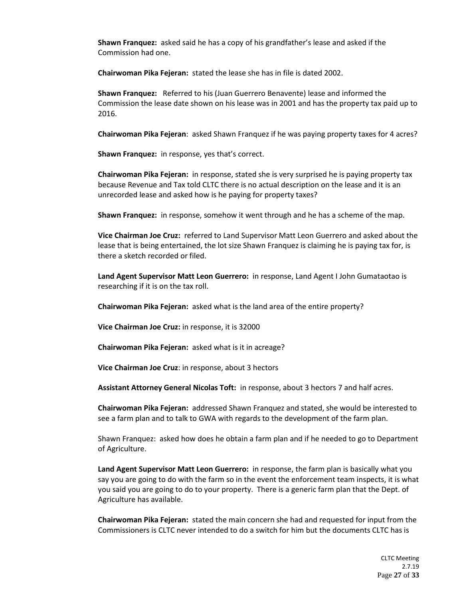**Shawn Franquez:** asked said he has a copy of his grandfather's lease and asked if the Commission had one.

**Chairwoman Pika Fejeran:** stated the lease she has in file is dated 2002.

**Shawn Franquez:** Referred to his (Juan Guerrero Benavente) lease and informed the Commission the lease date shown on his lease was in 2001 and has the property tax paid up to 2016.

**Chairwoman Pika Fejeran**: asked Shawn Franquez if he was paying property taxes for 4 acres?

**Shawn Franquez:** in response, yes that's correct.

**Chairwoman Pika Fejeran:** in response, stated she is very surprised he is paying property tax because Revenue and Tax told CLTC there is no actual description on the lease and it is an unrecorded lease and asked how is he paying for property taxes?

**Shawn Franquez:** in response, somehow it went through and he has a scheme of the map.

**Vice Chairman Joe Cruz:** referred to Land Supervisor Matt Leon Guerrero and asked about the lease that is being entertained, the lot size Shawn Franquez is claiming he is paying tax for, is there a sketch recorded or filed.

**Land Agent Supervisor Matt Leon Guerrero:** in response, Land Agent I John Gumataotao is researching if it is on the tax roll.

**Chairwoman Pika Fejeran:** asked what is the land area of the entire property?

**Vice Chairman Joe Cruz:** in response, it is 32000

**Chairwoman Pika Fejeran:** asked what is it in acreage?

**Vice Chairman Joe Cruz**: in response, about 3 hectors

**Assistant Attorney General Nicolas Toft:** in response, about 3 hectors 7 and half acres.

**Chairwoman Pika Fejeran:** addressed Shawn Franquez and stated, she would be interested to see a farm plan and to talk to GWA with regards to the development of the farm plan.

Shawn Franquez: asked how does he obtain a farm plan and if he needed to go to Department of Agriculture.

**Land Agent Supervisor Matt Leon Guerrero:** in response, the farm plan is basically what you say you are going to do with the farm so in the event the enforcement team inspects, it is what you said you are going to do to your property. There is a generic farm plan that the Dept. of Agriculture has available.

**Chairwoman Pika Fejeran:** stated the main concern she had and requested for input from the Commissioners is CLTC never intended to do a switch for him but the documents CLTC has is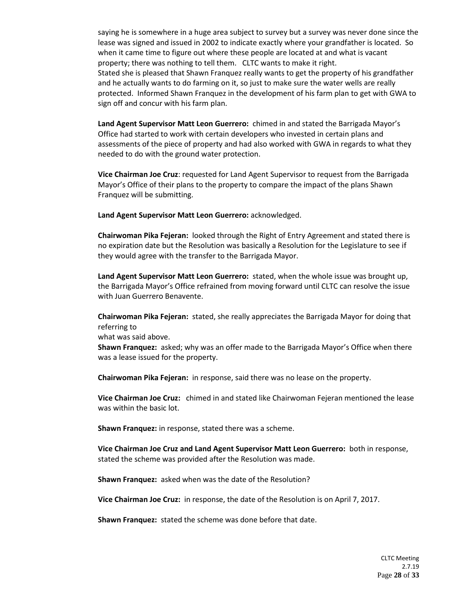saying he is somewhere in a huge area subject to survey but a survey was never done since the lease was signed and issued in 2002 to indicate exactly where your grandfather is located. So when it came time to figure out where these people are located at and what is vacant property; there was nothing to tell them. CLTC wants to make it right. Stated she is pleased that Shawn Franquez really wants to get the property of his grandfather and he actually wants to do farming on it, so just to make sure the water wells are really protected. Informed Shawn Franquez in the development of his farm plan to get with GWA to sign off and concur with his farm plan.

**Land Agent Supervisor Matt Leon Guerrero:** chimed in and stated the Barrigada Mayor's Office had started to work with certain developers who invested in certain plans and assessments of the piece of property and had also worked with GWA in regards to what they needed to do with the ground water protection.

**Vice Chairman Joe Cruz**: requested for Land Agent Supervisor to request from the Barrigada Mayor's Office of their plans to the property to compare the impact of the plans Shawn Franquez will be submitting.

**Land Agent Supervisor Matt Leon Guerrero:** acknowledged.

**Chairwoman Pika Fejeran:** looked through the Right of Entry Agreement and stated there is no expiration date but the Resolution was basically a Resolution for the Legislature to see if they would agree with the transfer to the Barrigada Mayor.

**Land Agent Supervisor Matt Leon Guerrero:** stated, when the whole issue was brought up, the Barrigada Mayor's Office refrained from moving forward until CLTC can resolve the issue with Juan Guerrero Benavente.

**Chairwoman Pika Fejeran:** stated, she really appreciates the Barrigada Mayor for doing that referring to

what was said above.

**Shawn Franquez:** asked; why was an offer made to the Barrigada Mayor's Office when there was a lease issued for the property.

**Chairwoman Pika Fejeran:** in response, said there was no lease on the property.

**Vice Chairman Joe Cruz:** chimed in and stated like Chairwoman Fejeran mentioned the lease was within the basic lot.

**Shawn Franquez:** in response, stated there was a scheme.

**Vice Chairman Joe Cruz and Land Agent Supervisor Matt Leon Guerrero:** both in response, stated the scheme was provided after the Resolution was made.

**Shawn Franquez:** asked when was the date of the Resolution?

**Vice Chairman Joe Cruz:** in response, the date of the Resolution is on April 7, 2017.

**Shawn Franquez:** stated the scheme was done before that date.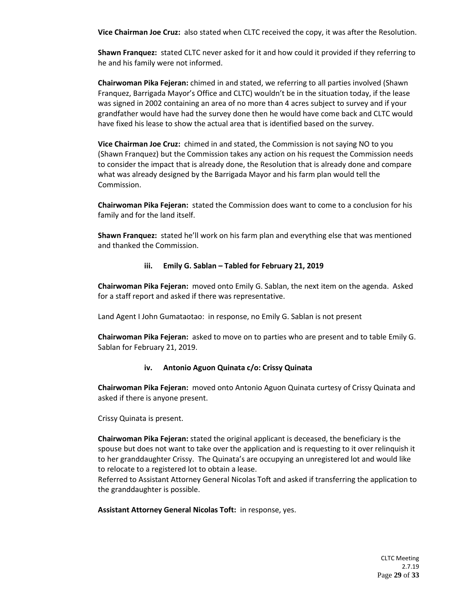**Vice Chairman Joe Cruz:** also stated when CLTC received the copy, it was after the Resolution.

**Shawn Franquez:** stated CLTC never asked for it and how could it provided if they referring to he and his family were not informed.

**Chairwoman Pika Fejeran:** chimed in and stated, we referring to all parties involved (Shawn Franquez, Barrigada Mayor's Office and CLTC) wouldn't be in the situation today, if the lease was signed in 2002 containing an area of no more than 4 acres subject to survey and if your grandfather would have had the survey done then he would have come back and CLTC would have fixed his lease to show the actual area that is identified based on the survey.

**Vice Chairman Joe Cruz:** chimed in and stated, the Commission is not saying NO to you (Shawn Franquez) but the Commission takes any action on his request the Commission needs to consider the impact that is already done, the Resolution that is already done and compare what was already designed by the Barrigada Mayor and his farm plan would tell the Commission.

**Chairwoman Pika Fejeran:** stated the Commission does want to come to a conclusion for his family and for the land itself.

**Shawn Franquez:** stated he'll work on his farm plan and everything else that was mentioned and thanked the Commission.

# **iii. Emily G. Sablan – Tabled for February 21, 2019**

**Chairwoman Pika Fejeran:** moved onto Emily G. Sablan, the next item on the agenda. Asked for a staff report and asked if there was representative.

Land Agent I John Gumataotao: in response, no Emily G. Sablan is not present

**Chairwoman Pika Fejeran:** asked to move on to parties who are present and to table Emily G. Sablan for February 21, 2019.

# **iv. Antonio Aguon Quinata c/o: Crissy Quinata**

**Chairwoman Pika Fejeran:** moved onto Antonio Aguon Quinata curtesy of Crissy Quinata and asked if there is anyone present.

Crissy Quinata is present.

**Chairwoman Pika Fejeran:** stated the original applicant is deceased, the beneficiary is the spouse but does not want to take over the application and is requesting to it over relinquish it to her granddaughter Crissy. The Quinata's are occupying an unregistered lot and would like to relocate to a registered lot to obtain a lease.

Referred to Assistant Attorney General Nicolas Toft and asked if transferring the application to the granddaughter is possible.

**Assistant Attorney General Nicolas Toft:** in response, yes.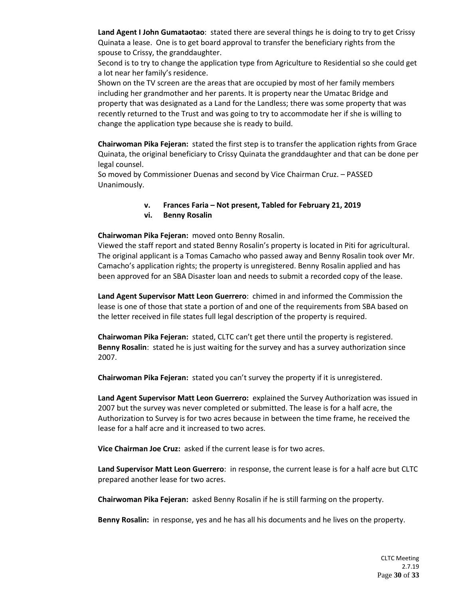**Land Agent I John Gumataotao**: stated there are several things he is doing to try to get Crissy Quinata a lease. One is to get board approval to transfer the beneficiary rights from the spouse to Crissy, the granddaughter.

Second is to try to change the application type from Agriculture to Residential so she could get a lot near her family's residence.

Shown on the TV screen are the areas that are occupied by most of her family members including her grandmother and her parents. It is property near the Umatac Bridge and property that was designated as a Land for the Landless; there was some property that was recently returned to the Trust and was going to try to accommodate her if she is willing to change the application type because she is ready to build.

**Chairwoman Pika Fejeran:** stated the first step is to transfer the application rights from Grace Quinata, the original beneficiary to Crissy Quinata the granddaughter and that can be done per legal counsel.

So moved by Commissioner Duenas and second by Vice Chairman Cruz. – PASSED Unanimously.

#### **v. Frances Faria – Not present, Tabled for February 21, 2019**

**vi. Benny Rosalin**

#### **Chairwoman Pika Fejeran:** moved onto Benny Rosalin.

Viewed the staff report and stated Benny Rosalin's property is located in Piti for agricultural. The original applicant is a Tomas Camacho who passed away and Benny Rosalin took over Mr. Camacho's application rights; the property is unregistered. Benny Rosalin applied and has been approved for an SBA Disaster loan and needs to submit a recorded copy of the lease.

**Land Agent Supervisor Matt Leon Guerrero**: chimed in and informed the Commission the lease is one of those that state a portion of and one of the requirements from SBA based on the letter received in file states full legal description of the property is required.

**Chairwoman Pika Fejeran:** stated, CLTC can't get there until the property is registered. **Benny Rosalin**: stated he is just waiting for the survey and has a survey authorization since 2007.

**Chairwoman Pika Fejeran:** stated you can't survey the property if it is unregistered.

**Land Agent Supervisor Matt Leon Guerrero:** explained the Survey Authorization was issued in 2007 but the survey was never completed or submitted. The lease is for a half acre, the Authorization to Survey is for two acres because in between the time frame, he received the lease for a half acre and it increased to two acres.

**Vice Chairman Joe Cruz:** asked if the current lease is for two acres.

**Land Supervisor Matt Leon Guerrero**: in response, the current lease is for a half acre but CLTC prepared another lease for two acres.

**Chairwoman Pika Fejeran:** asked Benny Rosalin if he is still farming on the property.

**Benny Rosalin:** in response, yes and he has all his documents and he lives on the property.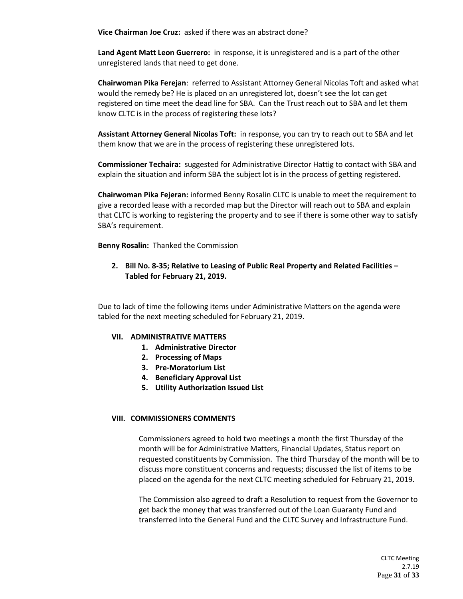**Vice Chairman Joe Cruz:** asked if there was an abstract done?

**Land Agent Matt Leon Guerrero:** in response, it is unregistered and is a part of the other unregistered lands that need to get done.

**Chairwoman Pika Ferejan**: referred to Assistant Attorney General Nicolas Toft and asked what would the remedy be? He is placed on an unregistered lot, doesn't see the lot can get registered on time meet the dead line for SBA. Can the Trust reach out to SBA and let them know CLTC is in the process of registering these lots?

**Assistant Attorney General Nicolas Toft:** in response, you can try to reach out to SBA and let them know that we are in the process of registering these unregistered lots.

**Commissioner Techaira:** suggested for Administrative Director Hattig to contact with SBA and explain the situation and inform SBA the subject lot is in the process of getting registered.

**Chairwoman Pika Fejeran:** informed Benny Rosalin CLTC is unable to meet the requirement to give a recorded lease with a recorded map but the Director will reach out to SBA and explain that CLTC is working to registering the property and to see if there is some other way to satisfy SBA's requirement.

**Benny Rosalin:** Thanked the Commission

**2. Bill No. 8-35; Relative to Leasing of Public Real Property and Related Facilities – Tabled for February 21, 2019.**

Due to lack of time the following items under Administrative Matters on the agenda were tabled for the next meeting scheduled for February 21, 2019.

# **VII. ADMINISTRATIVE MATTERS**

- **1. Administrative Director**
- **2. Processing of Maps**
- **3. Pre-Moratorium List**
- **4. Beneficiary Approval List**
- **5. Utility Authorization Issued List**

#### **VIII. COMMISSIONERS COMMENTS**

Commissioners agreed to hold two meetings a month the first Thursday of the month will be for Administrative Matters, Financial Updates, Status report on requested constituents by Commission. The third Thursday of the month will be to discuss more constituent concerns and requests; discussed the list of items to be placed on the agenda for the next CLTC meeting scheduled for February 21, 2019.

The Commission also agreed to draft a Resolution to request from the Governor to get back the money that was transferred out of the Loan Guaranty Fund and transferred into the General Fund and the CLTC Survey and Infrastructure Fund.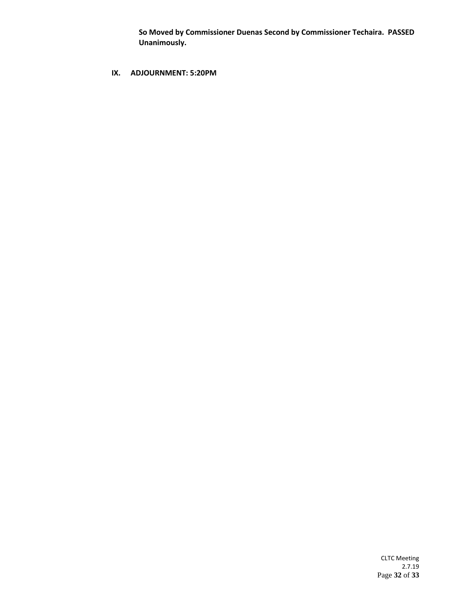**So Moved by Commissioner Duenas Second by Commissioner Techaira. PASSED Unanimously.** 

# **IX. ADJOURNMENT: 5:20PM**

CLTC Meeting 2.7.19 Page **32** of **33**